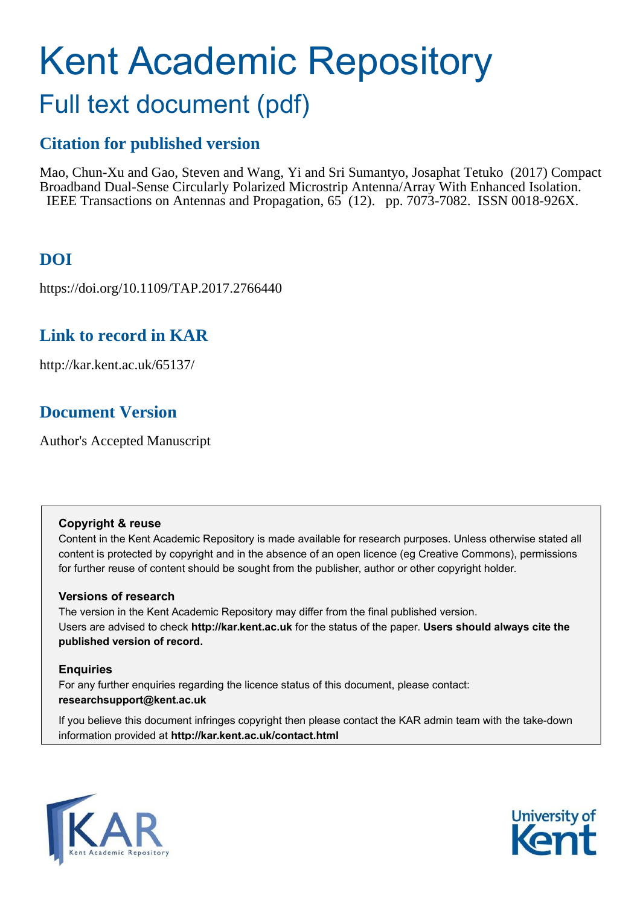# Kent Academic Repository Full text document (pdf)

### **Citation for published version**

Mao, Chun-Xu and Gao, Steven and Wang, Yi and Sri Sumantyo, Josaphat Tetuko (2017) Compact Broadband Dual-Sense Circularly Polarized Microstrip Antenna/Array With Enhanced Isolation. IEEE Transactions on Antennas and Propagation, 65 (12). pp. 7073-7082. ISSN 0018-926X.

### **DOI**

https://doi.org/10.1109/TAP.2017.2766440

### **Link to record in KAR**

http://kar.kent.ac.uk/65137/

### **Document Version**

Author's Accepted Manuscript

#### **Copyright & reuse**

Content in the Kent Academic Repository is made available for research purposes. Unless otherwise stated all content is protected by copyright and in the absence of an open licence (eg Creative Commons), permissions for further reuse of content should be sought from the publisher, author or other copyright holder.

### **Versions of research**

The version in the Kent Academic Repository may differ from the final published version. Users are advised to check **http://kar.kent.ac.uk** for the status of the paper. **Users should always cite the published version of record.**

### **Enquiries**

For any further enquiries regarding the licence status of this document, please contact: **researchsupport@kent.ac.uk**

If you believe this document infringes copyright then please contact the KAR admin team with the take-down information provided at **http://kar.kent.ac.uk/contact.html**



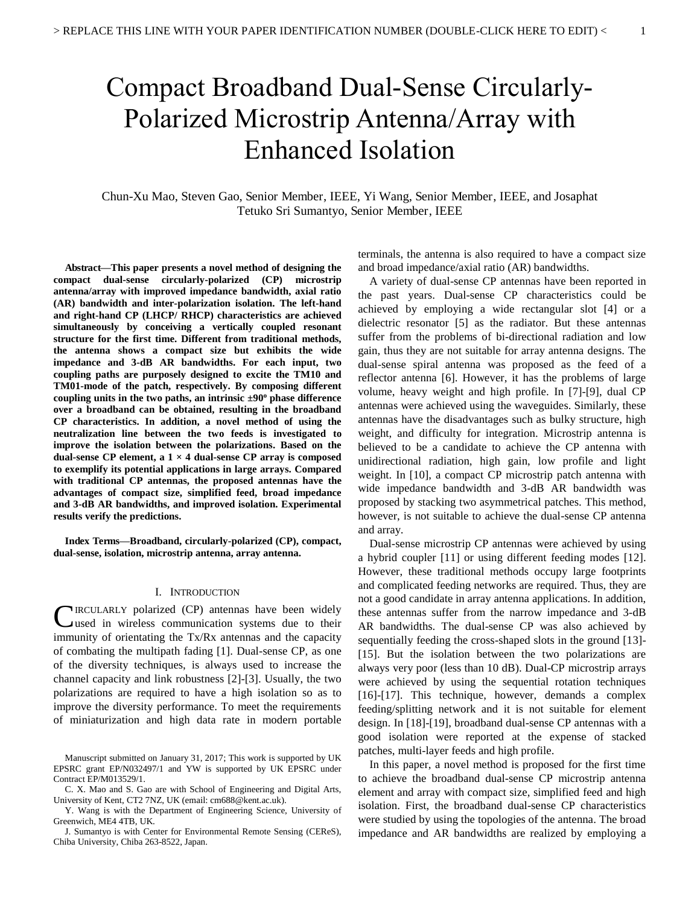## Compact Broadband Dual-Sense Circularly-Polarized Microstrip Antenna/Array with Enhanced Isolation

Chun-Xu Mao, Steven Gao, Senior Member, IEEE, Yi Wang, Senior Member, IEEE, and Josaphat Tetuko Sri Sumantyo, Senior Member, IEEE

**Abstract—This paper presents a novel method of designing the compact dual-sense circularly-polarized (CP) microstrip antenna/array with improved impedance bandwidth, axial ratio (AR) bandwidth and inter-polarization isolation. The left-hand and right-hand CP (LHCP/ RHCP) characteristics are achieved simultaneously by conceiving a vertically coupled resonant structure for the first time. Different from traditional methods, the antenna shows a compact size but exhibits the wide impedance and 3-dB AR bandwidths. For each input, two coupling paths are purposely designed to excite the TM10 and TM01-mode of the patch, respectively. By composing different coupling units in the two paths, an intrinsic ±90<sup>o</sup> phase difference over a broadband can be obtained, resulting in the broadband CP characteristics. In addition, a novel method of using the neutralization line between the two feeds is investigated to improve the isolation between the polarizations. Based on the dual-sense CP element, a 1 × 4 dual-sense CP array is composed to exemplify its potential applications in large arrays. Compared with traditional CP antennas, the proposed antennas have the advantages of compact size, simplified feed, broad impedance and 3-dB AR bandwidths, and improved isolation. Experimental results verify the predictions.** 

**Index Terms—Broadband, circularly-polarized (CP), compact, dual-sense, isolation, microstrip antenna, array antenna.** 

#### I. INTRODUCTION

CIRCULARLY polarized (CP) antennas have been widely<br>used in wireless communication systems due to their used in wireless communication systems due to their immunity of orientating the Tx/Rx antennas and the capacity of combating the multipath fading [1]. Dual-sense CP, as one of the diversity techniques, is always used to increase the channel capacity and link robustness [2]-[3]. Usually, the two polarizations are required to have a high isolation so as to improve the diversity performance. To meet the requirements of miniaturization and high data rate in modern portable

terminals, the antenna is also required to have a compact size and broad impedance/axial ratio (AR) bandwidths.

 A variety of dual-sense CP antennas have been reported in the past years. Dual-sense CP characteristics could be achieved by employing a wide rectangular slot [4] or a dielectric resonator [5] as the radiator. But these antennas suffer from the problems of bi-directional radiation and low gain, thus they are not suitable for array antenna designs. The dual-sense spiral antenna was proposed as the feed of a reflector antenna [6]. However, it has the problems of large volume, heavy weight and high profile. In [7]-[9], dual CP antennas were achieved using the waveguides. Similarly, these antennas have the disadvantages such as bulky structure, high weight, and difficulty for integration. Microstrip antenna is believed to be a candidate to achieve the CP antenna with unidirectional radiation, high gain, low profile and light weight. In [10], a compact CP microstrip patch antenna with wide impedance bandwidth and 3-dB AR bandwidth was proposed by stacking two asymmetrical patches. This method, however, is not suitable to achieve the dual-sense CP antenna and array.

 Dual-sense microstrip CP antennas were achieved by using a hybrid coupler [11] or using different feeding modes [12]. However, these traditional methods occupy large footprints and complicated feeding networks are required. Thus, they are not a good candidate in array antenna applications. In addition, these antennas suffer from the narrow impedance and 3-dB AR bandwidths. The dual-sense CP was also achieved by sequentially feeding the cross-shaped slots in the ground [13]- [15]. But the isolation between the two polarizations are always very poor (less than 10 dB). Dual-CP microstrip arrays were achieved by using the sequential rotation techniques [16]-[17]. This technique, however, demands a complex feeding/splitting network and it is not suitable for element design. In [18]-[19], broadband dual-sense CP antennas with a good isolation were reported at the expense of stacked patches, multi-layer feeds and high profile.

 In this paper, a novel method is proposed for the first time to achieve the broadband dual-sense CP microstrip antenna element and array with compact size, simplified feed and high isolation. First, the broadband dual-sense CP characteristics were studied by using the topologies of the antenna. The broad impedance and AR bandwidths are realized by employing a

Manuscript submitted on January 31, 2017; This work is supported by UK EPSRC grant EP/N032497/1 and YW is supported by UK EPSRC under Contract EP/M013529/1.

C. X. Mao and S. Gao are with School of Engineering and Digital Arts, University of Kent, CT2 7NZ, UK (email: cm688@kent.ac.uk).

Y. Wang is with the Department of Engineering Science, University of Greenwich, ME4 4TB, UK.

J. Sumantyo is with Center for Environmental Remote Sensing (CEReS), Chiba University, Chiba 263-8522, Japan.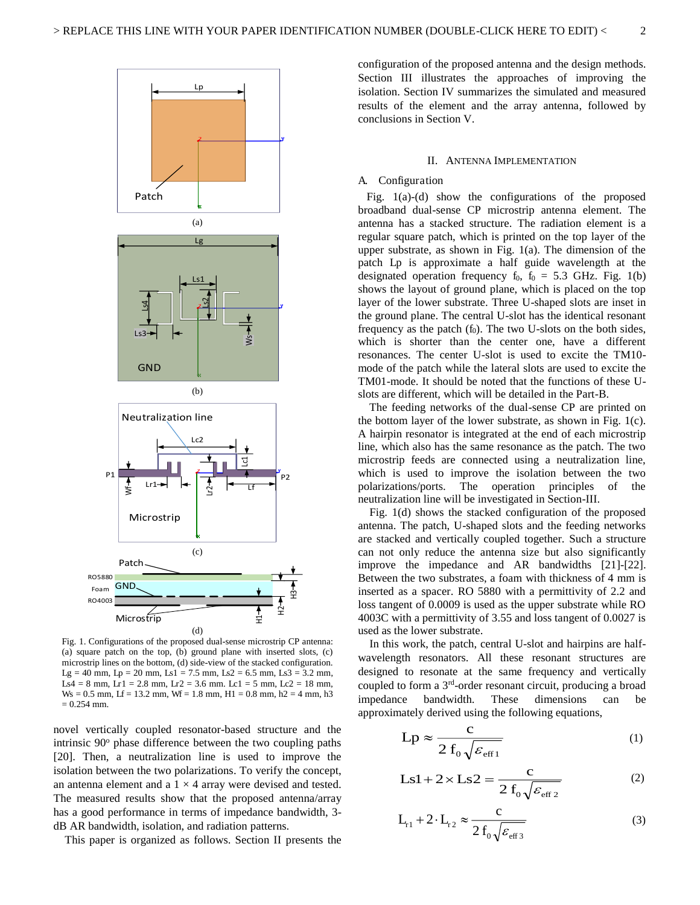

Fig. 1. Configurations of the proposed dual-sense microstrip CP antenna: (a) square patch on the top, (b) ground plane with inserted slots, (c) microstrip lines on the bottom, (d) side-view of the stacked configuration. Lg = 40 mm, Lp = 20 mm, Ls1 = 7.5 mm, Ls2 = 6.5 mm, Ls3 = 3.2 mm, Ls4 = 8 mm, Lr1 = 2.8 mm, Lr2 = 3.6 mm. Lc1 = 5 mm, Lc2 = 18 mm,  $W_s = 0.5$  mm,  $Lf = 13.2$  mm,  $Wf = 1.8$  mm,  $H1 = 0.8$  mm,  $h2 = 4$  mm,  $h3$  $= 0.254$  mm.

novel vertically coupled resonator-based structure and the intrinsic 90° phase difference between the two coupling paths [20]. Then, a neutralization line is used to improve the isolation between the two polarizations. To verify the concept, an antenna element and a  $1 \times 4$  array were devised and tested. The measured results show that the proposed antenna/array has a good performance in terms of impedance bandwidth, 3 dB AR bandwidth, isolation, and radiation patterns.

This paper is organized as follows. Section II presents the

configuration of the proposed antenna and the design methods. Section III illustrates the approaches of improving the isolation. Section IV summarizes the simulated and measured results of the element and the array antenna, followed by conclusions in Section V.

#### II. ANTENNA IMPLEMENTATION

#### A. Configuration

 Fig. 1(a)-(d) show the configurations of the proposed broadband dual-sense CP microstrip antenna element. The antenna has a stacked structure. The radiation element is a regular square patch, which is printed on the top layer of the upper substrate, as shown in Fig. 1(a). The dimension of the patch Lp is approximate a half guide wavelength at the designated operation frequency  $f_0$ ,  $f_0 = 5.3$  GHz. Fig. 1(b) shows the layout of ground plane, which is placed on the top layer of the lower substrate. Three U-shaped slots are inset in the ground plane. The central U-slot has the identical resonant frequency as the patch  $(f_0)$ . The two U-slots on the both sides, which is shorter than the center one, have a different resonances. The center U-slot is used to excite the TM10 mode of the patch while the lateral slots are used to excite the TM01-mode. It should be noted that the functions of these Uslots are different, which will be detailed in the Part-B.

 The feeding networks of the dual-sense CP are printed on the bottom layer of the lower substrate, as shown in Fig. 1(c). A hairpin resonator is integrated at the end of each microstrip line, which also has the same resonance as the patch. The two microstrip feeds are connected using a neutralization line, which is used to improve the isolation between the two polarizations/ports. The operation principles of the neutralization line will be investigated in Section-III.

 Fig. 1(d) shows the stacked configuration of the proposed antenna. The patch, U-shaped slots and the feeding networks are stacked and vertically coupled together. Such a structure can not only reduce the antenna size but also significantly improve the impedance and AR bandwidths [21]-[22]. Between the two substrates, a foam with thickness of 4 mm is inserted as a spacer. RO 5880 with a permittivity of 2.2 and loss tangent of 0.0009 is used as the upper substrate while RO 4003C with a permittivity of 3.55 and loss tangent of 0.0027 is used as the lower substrate.

In this work, the patch, central U-slot and hairpins are halfwavelength resonators. All these resonant structures are designed to resonate at the same frequency and vertically coupled to form a 3rd-order resonant circuit, producing a broad impedance bandwidth. These dimensions can be approximately derived using the following equations,

$$
Lp \approx \frac{c}{2 f_0 \sqrt{\varepsilon_{\text{eff1}}}}
$$
 (1)

$$
Ls1 + 2 \times Ls2 = \frac{c}{2 f_0 \sqrt{\varepsilon_{\text{eff 2}}}}
$$
 (2)

$$
L_{t1} + 2 \cdot L_{t2} \approx \frac{c}{2 f_0 \sqrt{\varepsilon_{eff3}}} \tag{3}
$$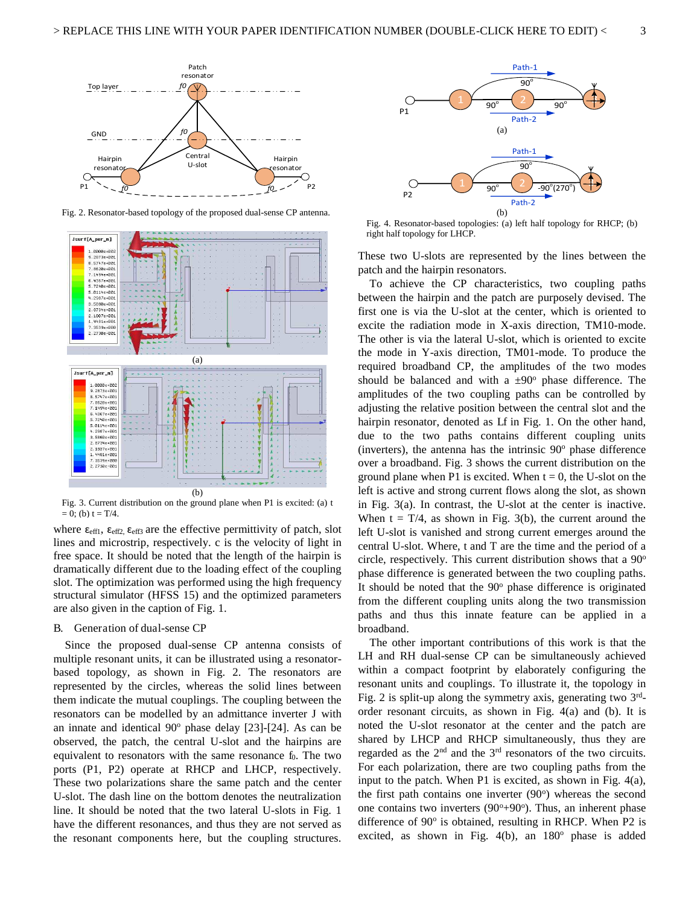

Fig. 2. Resonator-based topology of the proposed dual-sense CP antenna.



Fig. 3. Current distribution on the ground plane when P1 is excited: (a) t  $= 0$ ; (b) t = T/4.

where  $\epsilon_{\text{eff1}}$ ,  $\epsilon_{\text{eff2}}$ ,  $\epsilon_{\text{eff3}}$  are the effective permittivity of patch, slot lines and microstrip, respectively. c is the velocity of light in free space. It should be noted that the length of the hairpin is dramatically different due to the loading effect of the coupling slot. The optimization was performed using the high frequency structural simulator (HFSS 15) and the optimized parameters are also given in the caption of Fig. 1.

#### B. Generation of dual-sense CP

Since the proposed dual-sense CP antenna consists of multiple resonant units, it can be illustrated using a resonatorbased topology, as shown in Fig. 2. The resonators are represented by the circles, whereas the solid lines between them indicate the mutual couplings. The coupling between the resonators can be modelled by an admittance inverter J with an innate and identical  $90^\circ$  phase delay [23]-[24]. As can be observed, the patch, the central U-slot and the hairpins are equivalent to resonators with the same resonance  $f_0$ . The two ports (P1, P2) operate at RHCP and LHCP, respectively. These two polarizations share the same patch and the center U-slot. The dash line on the bottom denotes the neutralization line. It should be noted that the two lateral U-slots in Fig. 1 have the different resonances, and thus they are not served as the resonant components here, but the coupling structures.



Fig. 4. Resonator-based topologies: (a) left half topology for RHCP; (b) right half topology for LHCP.

These two U-slots are represented by the lines between the patch and the hairpin resonators.

To achieve the CP characteristics, two coupling paths between the hairpin and the patch are purposely devised. The first one is via the U-slot at the center, which is oriented to excite the radiation mode in X-axis direction, TM10-mode. The other is via the lateral U-slot, which is oriented to excite the mode in Y-axis direction, TM01-mode. To produce the required broadband CP, the amplitudes of the two modes should be balanced and with a  $\pm 90^\circ$  phase difference. The amplitudes of the two coupling paths can be controlled by adjusting the relative position between the central slot and the hairpin resonator, denoted as Lf in Fig. 1. On the other hand, due to the two paths contains different coupling units (inverters), the antenna has the intrinsic  $90^\circ$  phase difference over a broadband. Fig. 3 shows the current distribution on the ground plane when P1 is excited. When  $t = 0$ , the U-slot on the left is active and strong current flows along the slot, as shown in Fig. 3(a). In contrast, the U-slot at the center is inactive. When  $t = T/4$ , as shown in Fig. 3(b), the current around the left U-slot is vanished and strong current emerges around the central U-slot. Where, t and T are the time and the period of a circle, respectively. This current distribution shows that a 90<sup>o</sup> phase difference is generated between the two coupling paths. It should be noted that the 90° phase difference is originated from the different coupling units along the two transmission paths and thus this innate feature can be applied in a broadband.

The other important contributions of this work is that the LH and RH dual-sense CP can be simultaneously achieved within a compact footprint by elaborately configuring the resonant units and couplings. To illustrate it, the topology in Fig. 2 is split-up along the symmetry axis, generating two  $3<sup>rd</sup>$ order resonant circuits, as shown in Fig. 4(a) and (b). It is noted the U-slot resonator at the center and the patch are shared by LHCP and RHCP simultaneously, thus they are regarded as the  $2<sup>nd</sup>$  and the  $3<sup>rd</sup>$  resonators of the two circuits. For each polarization, there are two coupling paths from the input to the patch. When P1 is excited, as shown in Fig. 4(a), the first path contains one inverter (90°) whereas the second one contains two inverters  $(90^\circ+90^\circ)$ . Thus, an inherent phase difference of 90° is obtained, resulting in RHCP. When P2 is excited, as shown in Fig.  $4(b)$ , an  $180^\circ$  phase is added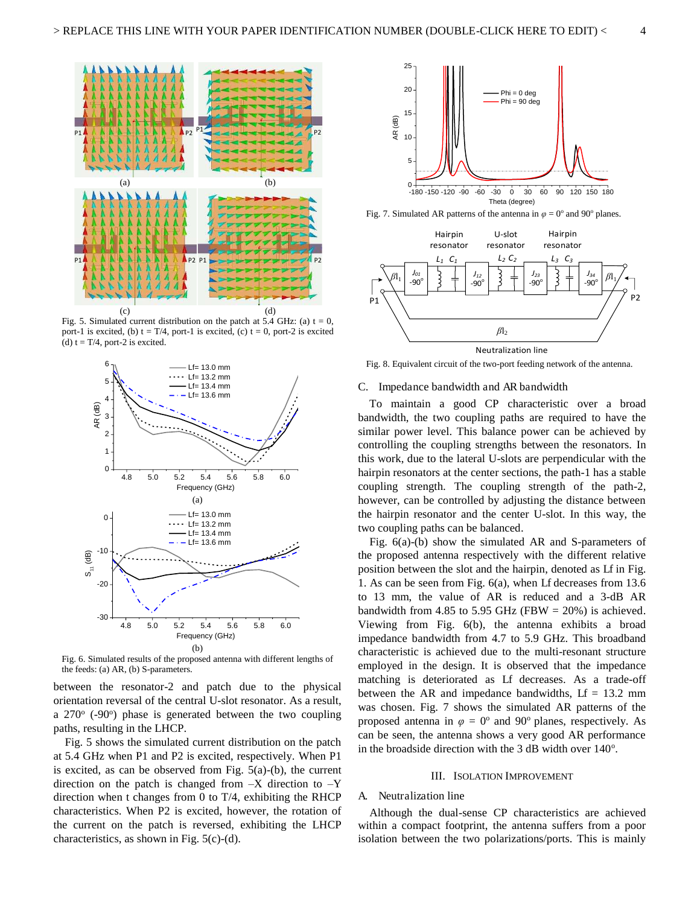

Fig. 5. Simulated current distribution on the patch at 5.4 GHz: (a)  $t = 0$ , port-1 is excited, (b)  $t = T/4$ , port-1 is excited, (c)  $t = 0$ , port-2 is excited (d)  $t = T/4$ , port-2 is excited.



Fig. 6. Simulated results of the proposed antenna with different lengths of the feeds: (a) AR, (b) S-parameters.

between the resonator-2 and patch due to the physical orientation reversal of the central U-slot resonator. As a result, a  $270^{\circ}$  (-90°) phase is generated between the two coupling paths, resulting in the LHCP.

Fig. 5 shows the simulated current distribution on the patch at 5.4 GHz when P1 and P2 is excited, respectively. When P1 is excited, as can be observed from Fig.  $5(a)-(b)$ , the current direction on the patch is changed from  $-X$  direction to  $-Y$ direction when t changes from 0 to T/4, exhibiting the RHCP characteristics. When P2 is excited, however, the rotation of the current on the patch is reversed, exhibiting the LHCP characteristics, as shown in Fig. 5(c)-(d).



Fig. 7. Simulated AR patterns of the antenna in  $\varphi = 0^\circ$  and 90° planes.



Fig. 8. Equivalent circuit of the two-port feeding network of the antenna.

#### C. Impedance bandwidth and AR bandwidth

 To maintain a good CP characteristic over a broad bandwidth, the two coupling paths are required to have the similar power level. This balance power can be achieved by controlling the coupling strengths between the resonators. In this work, due to the lateral U-slots are perpendicular with the hairpin resonators at the center sections, the path-1 has a stable coupling strength. The coupling strength of the path-2, however, can be controlled by adjusting the distance between the hairpin resonator and the center U-slot. In this way, the two coupling paths can be balanced.

 Fig. 6(a)-(b) show the simulated AR and S-parameters of the proposed antenna respectively with the different relative position between the slot and the hairpin, denoted as Lf in Fig. 1. As can be seen from Fig. 6(a), when Lf decreases from 13.6 to 13 mm, the value of AR is reduced and a 3-dB AR bandwidth from 4.85 to 5.95 GHz (FBW =  $20\%$ ) is achieved. Viewing from Fig. 6(b), the antenna exhibits a broad impedance bandwidth from 4.7 to 5.9 GHz. This broadband characteristic is achieved due to the multi-resonant structure employed in the design. It is observed that the impedance matching is deteriorated as Lf decreases. As a trade-off between the AR and impedance bandwidths,  $Lf = 13.2$  mm was chosen. Fig. 7 shows the simulated AR patterns of the proposed antenna in  $\varphi = 0^{\circ}$  and 90° planes, respectively. As can be seen, the antenna shows a very good AR performance in the broadside direction with the  $3$  dB width over  $140^\circ$ .

#### III. ISOLATION IMPROVEMENT

#### A. Neutralization line

 Although the dual-sense CP characteristics are achieved within a compact footprint, the antenna suffers from a poor isolation between the two polarizations/ports. This is mainly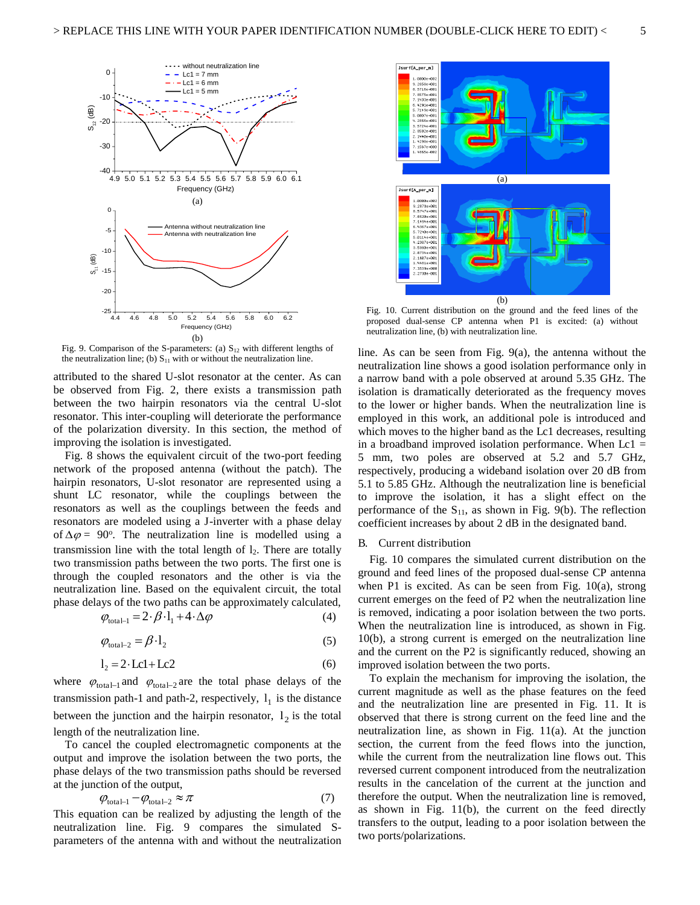

Fig. 9. Comparison of the S-parameters: (a)  $S_{12}$  with different lengths of the neutralization line; (b)  $S_{11}$  with or without the neutralization line.

attributed to the shared U-slot resonator at the center. As can be observed from Fig. 2, there exists a transmission path between the two hairpin resonators via the central U-slot resonator. This inter-coupling will deteriorate the performance of the polarization diversity. In this section, the method of improving the isolation is investigated.

 Fig. 8 shows the equivalent circuit of the two-port feeding network of the proposed antenna (without the patch). The hairpin resonators, U-slot resonator are represented using a shunt LC resonator, while the couplings between the resonators as well as the couplings between the feeds and resonators are modeled using a J-inverter with a phase delay of  $\Delta \varphi = 90^\circ$ . The neutralization line is modelled using a transmission line with the total length of  $l_2$ . There are totally two transmission paths between the two ports. The first one is through the coupled resonators and the other is via the neutralization line. Based on the equivalent circuit, the total phase delays of the two paths can be approximately calculated,

$$
\varphi_{\text{total-1}} = 2 \cdot \beta \cdot l_1 + 4 \cdot \Delta \varphi \tag{4}
$$

$$
\varphi_{\text{total-2}} = \beta \cdot l_2 \tag{5}
$$

$$
l_2 = 2 \cdot Lcl + Lc2 \tag{6}
$$

where  $\varphi_{\text{total-1}}$  and  $\varphi_{\text{total-2}}$  are the total phase delays of the transmission path-1 and path-2, respectively,  $l_1$  is the distance between the junction and the hairpin resonator,  $l_2$  is the total length of the neutralization line.

 To cancel the coupled electromagnetic components at the output and improve the isolation between the two ports, the phase delays of the two transmission paths should be reversed at the junction of the output,

$$
\varphi_{\text{total}-1} - \varphi_{\text{total}-2} \approx \pi \tag{7}
$$

This equation can be realized by adjusting the length of the neutralization line. Fig. 9 compares the simulated Sparameters of the antenna with and without the neutralization



Fig. 10. Current distribution on the ground and the feed lines of the proposed dual-sense CP antenna when P1 is excited: (a) without neutralization line, (b) with neutralization line.

line. As can be seen from Fig. 9(a), the antenna without the neutralization line shows a good isolation performance only in a narrow band with a pole observed at around 5.35 GHz. The isolation is dramatically deteriorated as the frequency moves to the lower or higher bands. When the neutralization line is employed in this work, an additional pole is introduced and which moves to the higher band as the Lc1 decreases, resulting in a broadband improved isolation performance. When  $Lc1 =$ 5 mm, two poles are observed at 5.2 and 5.7 GHz, respectively, producing a wideband isolation over 20 dB from 5.1 to 5.85 GHz. Although the neutralization line is beneficial to improve the isolation, it has a slight effect on the performance of the  $S_{11}$ , as shown in Fig. 9(b). The reflection coefficient increases by about 2 dB in the designated band.

#### B. Current distribution

 Fig. 10 compares the simulated current distribution on the ground and feed lines of the proposed dual-sense CP antenna when P1 is excited. As can be seen from Fig.  $10(a)$ , strong current emerges on the feed of P2 when the neutralization line is removed, indicating a poor isolation between the two ports. When the neutralization line is introduced, as shown in Fig. 10(b), a strong current is emerged on the neutralization line and the current on the P2 is significantly reduced, showing an improved isolation between the two ports.

 To explain the mechanism for improving the isolation, the current magnitude as well as the phase features on the feed and the neutralization line are presented in Fig. 11. It is observed that there is strong current on the feed line and the neutralization line, as shown in Fig. 11(a). At the junction section, the current from the feed flows into the junction, while the current from the neutralization line flows out. This reversed current component introduced from the neutralization results in the cancelation of the current at the junction and therefore the output. When the neutralization line is removed, as shown in Fig. 11(b), the current on the feed directly transfers to the output, leading to a poor isolation between the two ports/polarizations.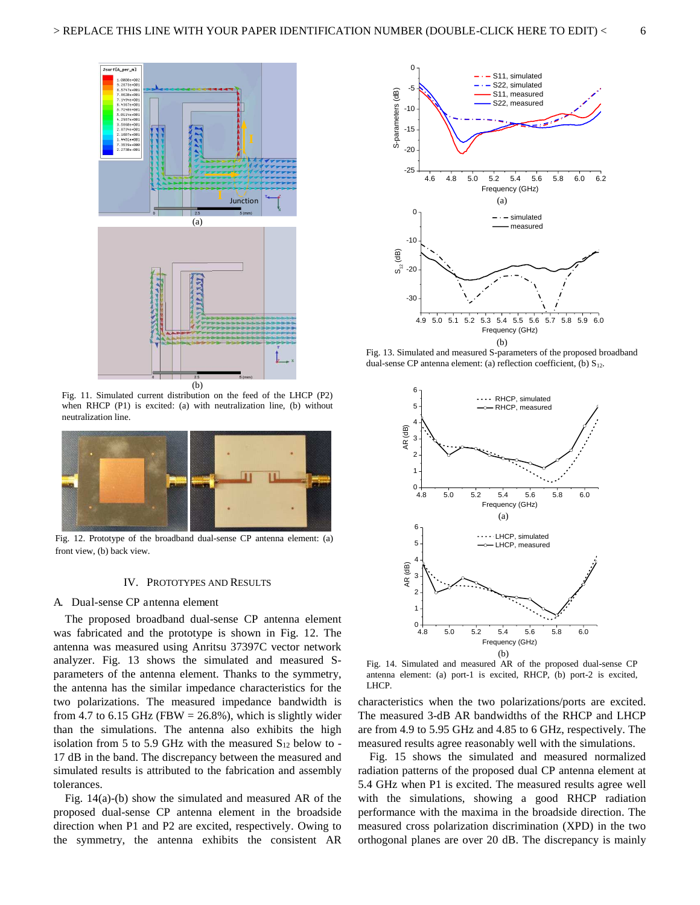

Fig. 11. Simulated current distribution on the feed of the LHCP (P2) when RHCP (P1) is excited: (a) with neutralization line, (b) without neutralization line.



Fig. 12. Prototype of the broadband dual-sense CP antenna element: (a) front view, (b) back view.

#### IV. PROTOTYPES AND RESULTS

#### A. Dual-sense CP antenna element

The proposed broadband dual-sense CP antenna element was fabricated and the prototype is shown in Fig. 12. The antenna was measured using Anritsu 37397C vector network analyzer. Fig. 13 shows the simulated and measured Sparameters of the antenna element. Thanks to the symmetry, the antenna has the similar impedance characteristics for the two polarizations. The measured impedance bandwidth is from 4.7 to 6.15 GHz (FBW =  $26.8\%$ ), which is slightly wider than the simulations. The antenna also exhibits the high isolation from 5 to 5.9 GHz with the measured  $S_{12}$  below to -17 dB in the band. The discrepancy between the measured and simulated results is attributed to the fabrication and assembly tolerances.

Fig. 14(a)-(b) show the simulated and measured AR of the proposed dual-sense CP antenna element in the broadside direction when P1 and P2 are excited, respectively. Owing to the symmetry, the antenna exhibits the consistent AR



Fig. 13. Simulated and measured S-parameters of the proposed broadband dual-sense CP antenna element: (a) reflection coefficient, (b)  $S_{12}$ .



Fig. 14. Simulated and measured AR of the proposed dual-sense CP antenna element: (a) port-1 is excited, RHCP, (b) port-2 is excited, LHCP.

characteristics when the two polarizations/ports are excited. The measured 3-dB AR bandwidths of the RHCP and LHCP are from 4.9 to 5.95 GHz and 4.85 to 6 GHz, respectively. The measured results agree reasonably well with the simulations.

Fig. 15 shows the simulated and measured normalized radiation patterns of the proposed dual CP antenna element at 5.4 GHz when P1 is excited. The measured results agree well with the simulations, showing a good RHCP radiation performance with the maxima in the broadside direction. The measured cross polarization discrimination (XPD) in the two orthogonal planes are over 20 dB. The discrepancy is mainly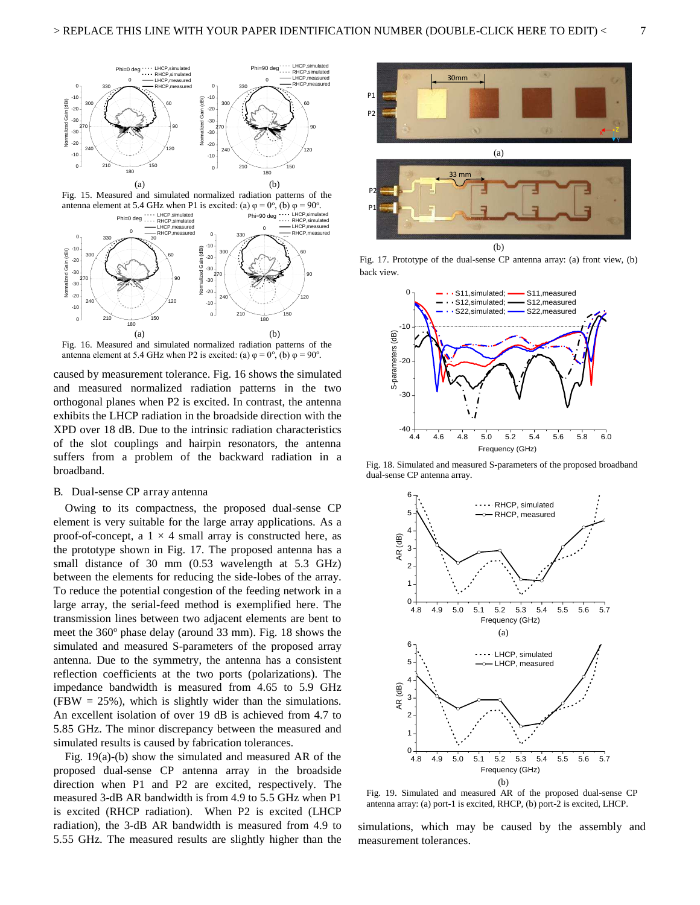

Fig. 15. Measured and simulated normalized radiation patterns of the antenna element at 5.4 GHz when P1 is excited: (a)  $\varphi = 0^{\circ}$ , (b)  $\varphi = 90^{\circ}$ .



Fig. 16. Measured and simulated normalized radiation patterns of the antenna element at 5.4 GHz when P2 is excited: (a)  $\varphi = 0^\circ$ , (b)  $\varphi = 90^\circ$ .

caused by measurement tolerance. Fig. 16 shows the simulated and measured normalized radiation patterns in the two orthogonal planes when P2 is excited. In contrast, the antenna exhibits the LHCP radiation in the broadside direction with the XPD over 18 dB. Due to the intrinsic radiation characteristics of the slot couplings and hairpin resonators, the antenna suffers from a problem of the backward radiation in a broadband.

#### B. Dual-sense CP array antenna

 Owing to its compactness, the proposed dual-sense CP element is very suitable for the large array applications. As a proof-of-concept, a  $1 \times 4$  small array is constructed here, as the prototype shown in Fig. 17. The proposed antenna has a small distance of 30 mm (0.53 wavelength at 5.3 GHz) between the elements for reducing the side-lobes of the array. To reduce the potential congestion of the feeding network in a large array, the serial-feed method is exemplified here. The transmission lines between two adjacent elements are bent to meet the 360° phase delay (around 33 mm). Fig. 18 shows the simulated and measured S-parameters of the proposed array antenna. Due to the symmetry, the antenna has a consistent reflection coefficients at the two ports (polarizations). The impedance bandwidth is measured from 4.65 to 5.9 GHz  $(FBW = 25\%)$ , which is slightly wider than the simulations. An excellent isolation of over 19 dB is achieved from 4.7 to 5.85 GHz. The minor discrepancy between the measured and simulated results is caused by fabrication tolerances.

 Fig. 19(a)-(b) show the simulated and measured AR of the proposed dual-sense CP antenna array in the broadside direction when P1 and P2 are excited, respectively. The measured 3-dB AR bandwidth is from 4.9 to 5.5 GHz when P1 is excited (RHCP radiation). When P2 is excited (LHCP radiation), the 3-dB AR bandwidth is measured from 4.9 to 5.55 GHz. The measured results are slightly higher than the



Fig. 17. Prototype of the dual-sense CP antenna array: (a) front view, (b) back view.



Fig. 18. Simulated and measured S-parameters of the proposed broadband dual-sense CP antenna array.



Fig. 19. Simulated and measured AR of the proposed dual-sense CP antenna array: (a) port-1 is excited, RHCP, (b) port-2 is excited, LHCP.

simulations, which may be caused by the assembly and measurement tolerances.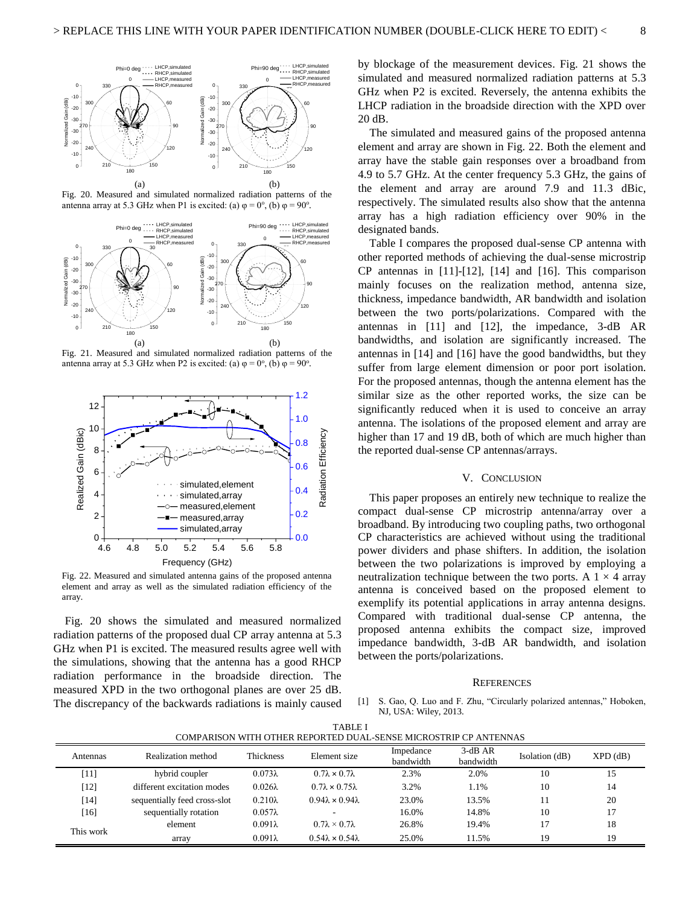





Fig. 21. Measured and simulated normalized radiation patterns of the antenna array at 5.3 GHz when P2 is excited: (a)  $\varphi = 0^\circ$ , (b)  $\varphi = 90^\circ$ .



Fig. 22. Measured and simulated antenna gains of the proposed antenna element and array as well as the simulated radiation efficiency of the array.

Fig. 20 shows the simulated and measured normalized radiation patterns of the proposed dual CP array antenna at 5.3 GHz when P1 is excited. The measured results agree well with the simulations, showing that the antenna has a good RHCP radiation performance in the broadside direction. The measured XPD in the two orthogonal planes are over 25 dB. The discrepancy of the backwards radiations is mainly caused by blockage of the measurement devices. Fig. 21 shows the simulated and measured normalized radiation patterns at 5.3 GHz when P2 is excited. Reversely, the antenna exhibits the LHCP radiation in the broadside direction with the XPD over 20 dB.

The simulated and measured gains of the proposed antenna element and array are shown in Fig. 22. Both the element and array have the stable gain responses over a broadband from 4.9 to 5.7 GHz. At the center frequency 5.3 GHz, the gains of the element and array are around 7.9 and 11.3 dBic, respectively. The simulated results also show that the antenna array has a high radiation efficiency over 90% in the designated bands.

 Table I compares the proposed dual-sense CP antenna with other reported methods of achieving the dual-sense microstrip CP antennas in [11]-[12], [14] and [16]. This comparison mainly focuses on the realization method, antenna size, thickness, impedance bandwidth, AR bandwidth and isolation between the two ports/polarizations. Compared with the antennas in [11] and [12], the impedance, 3-dB AR bandwidths, and isolation are significantly increased. The antennas in [14] and [16] have the good bandwidths, but they suffer from large element dimension or poor port isolation. For the proposed antennas, though the antenna element has the similar size as the other reported works, the size can be significantly reduced when it is used to conceive an array antenna. The isolations of the proposed element and array are higher than 17 and 19 dB, both of which are much higher than the reported dual-sense CP antennas/arrays.

#### V. CONCLUSION

 This paper proposes an entirely new technique to realize the compact dual-sense CP microstrip antenna/array over a broadband. By introducing two coupling paths, two orthogonal CP characteristics are achieved without using the traditional power dividers and phase shifters. In addition, the isolation between the two polarizations is improved by employing a neutralization technique between the two ports. A  $1 \times 4$  array antenna is conceived based on the proposed element to exemplify its potential applications in array antenna designs. Compared with traditional dual-sense CP antenna, the proposed antenna exhibits the compact size, improved impedance bandwidth, 3-dB AR bandwidth, and isolation between the ports/polarizations.

#### **REFERENCES**

S. Gao, Q. Luo and F. Zhu, "Circularly polarized antennas," Hoboken, NJ, USA: Wiley, 2013.

| 11 D D D 1<br>COMPARISON WITH OTHER REPORTED DUAL-SENSE MICROSTRIP CP ANTENNAS |                              |                |                                  |                        |                       |                |                |
|--------------------------------------------------------------------------------|------------------------------|----------------|----------------------------------|------------------------|-----------------------|----------------|----------------|
| Antennas                                                                       | Realization method           | Thickness      | Element size                     | Impedance<br>bandwidth | $3-dBAR$<br>bandwidth | Isolation (dB) | $XPD$ ( $dB$ ) |
| [11]                                                                           | hybrid coupler               | $0.073\lambda$ | $0.7\lambda \times 0.7\lambda$   | 2.3%                   | 2.0%                  | 10             | 15             |
| $[12]$                                                                         | different excitation modes   | $0.026\lambda$ | $0.7\lambda \times 0.75\lambda$  | 3.2%                   | 1.1%                  | 10             | 14             |
| [14]                                                                           | sequentially feed cross-slot | $0.210\lambda$ | $0.94\lambda \times 0.94\lambda$ | 23.0%                  | 13.5%                 | 11             | 20             |
| $[16]$                                                                         | sequentially rotation        | $0.057\lambda$ |                                  | 16.0%                  | 14.8%                 | 10             |                |
| This work                                                                      | element                      | $0.091\lambda$ | $0.7\lambda \times 0.7\lambda$   | 26.8%                  | 19.4%                 | 17             | 18             |
|                                                                                | array                        | $0.091\lambda$ | $0.54\lambda \times 0.54\lambda$ | 25.0%                  | 11.5%                 | 19             | 19             |

TABLE I